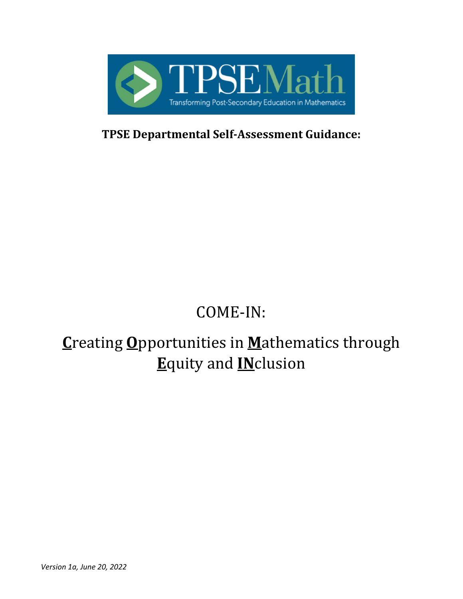

**TPSE Departmental Self-Assessment Guidance:**

# COME-IN:

# **C**reating **O**pportunities in **M**athematics through **E**quity and **IN**clusion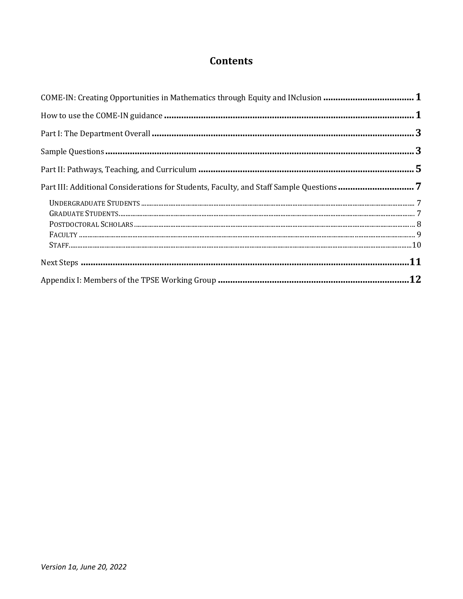# **Contents**

| COME-IN: Creating Opportunities in Mathematics through Equity and INclusion  1 |  |
|--------------------------------------------------------------------------------|--|
|                                                                                |  |
|                                                                                |  |
|                                                                                |  |
|                                                                                |  |
|                                                                                |  |
|                                                                                |  |
|                                                                                |  |
|                                                                                |  |
|                                                                                |  |
|                                                                                |  |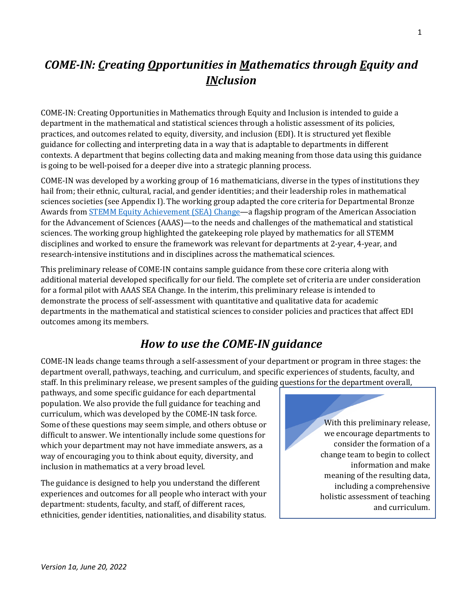# <span id="page-2-0"></span>*COME-IN: Creating Opportunities in Mathematics through Equity and INclusion*

COME-IN: Creating Opportunities in Mathematics through Equity and Inclusion is intended to guide a department in the mathematical and statistical sciences through a holistic assessment of its policies, practices, and outcomes related to equity, diversity, and inclusion (EDI). It is structured yet flexible guidance for collecting and interpreting data in a way that is adaptable to departments in different contexts. A department that begins collecting data and making meaning from those data using this guidance is going to be well-poised for a deeper dive into a strategic planning process.

COME-IN was developed by a working group of 16 mathematicians, diverse in the types of institutions they hail from; their ethnic, cultural, racial, and gender identities; and their leadership roles in mathematical sciences societies (see Appendix I). The working group adapted the core criteria for Departmental Bronze Awards from **STEMM Equity Achievement (SEA) Change**—a flagship program of the American Association for the Advancement of Sciences (AAAS)—to the needs and challenges of the mathematical and statistical sciences. The working group highlighted the gatekeeping role played by mathematics for all STEMM disciplines and worked to ensure the framework was relevant for departments at 2-year, 4-year, and research-intensive institutions and in disciplines across the mathematical sciences.

This preliminary release of COME-IN contains sample guidance from these core criteria along with additional material developed specifically for our field. The complete set of criteria are under consideration for a formal pilot with AAAS SEA Change. In the interim, this preliminary release is intended to demonstrate the process of self-assessment with quantitative and qualitative data for academic departments in the mathematical and statistical sciences to consider policies and practices that affect EDI outcomes among its members.

# *How to use the COME-IN guidance*

<span id="page-2-1"></span>COME-IN leads change teams through a self-assessment of your department or program in three stages: the department overall, pathways, teaching, and curriculum, and specific experiences of students, faculty, and staff. In this preliminary release, we present samples of the guiding questions for the department overall,

pathways, and some specific guidance for each departmental population. We also provide the full guidance for teaching and curriculum, which was developed by the COME-IN task force. Some of these questions may seem simple, and others obtuse or difficult to answer. We intentionally include some questions for which your department may not have immediate answers, as a way of encouraging you to think about equity, diversity, and inclusion in mathematics at a very broad level.

The guidance is designed to help you understand the different experiences and outcomes for all people who interact with your department: students, faculty, and staff, of different races, ethnicities, gender identities, nationalities, and disability status.

With this preliminary release, we encourage departments to consider the formation of a change team to begin to collect information and make meaning of the resulting data, including a comprehensive holistic assessment of teaching and curriculum.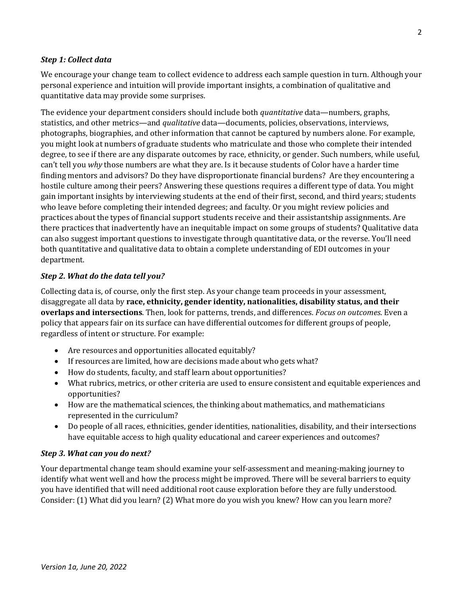# *Step 1: Collect data*

We encourage your change team to collect evidence to address each sample question in turn. Although your personal experience and intuition will provide important insights, a combination of qualitative and quantitative data may provide some surprises.

The evidence your department considers should include both *quantitative* data—numbers, graphs, statistics, and other metrics—and *qualitative* data—documents, policies, observations, interviews, photographs, biographies, and other information that cannot be captured by numbers alone. For example, you might look at numbers of graduate students who matriculate and those who complete their intended degree, to see if there are any disparate outcomes by race, ethnicity, or gender. Such numbers, while useful, can't tell you *why* those numbers are what they are. Is it because students of Color have a harder time finding mentors and advisors? Do they have disproportionate financial burdens? Are they encountering a hostile culture among their peers? Answering these questions requires a different type of data. You might gain important insights by interviewing students at the end of their first, second, and third years; students who leave before completing their intended degrees; and faculty. Or you might review policies and practices about the types of financial support students receive and their assistantship assignments. Are there practices that inadvertently have an inequitable impact on some groups of students? Qualitative data can also suggest important questions to investigate through quantitative data, or the reverse. You'll need both quantitative and qualitative data to obtain a complete understanding of EDI outcomes in your department.

# *Step 2. What do the data tell you?*

Collecting data is, of course, only the first step. As your change team proceeds in your assessment, disaggregate all data by **race, ethnicity, gender identity, nationalities, disability status, and their overlaps and intersections**. Then, look for patterns, trends, and differences. *Focus on outcomes*. Even a policy that appears fair on its surface can have differential outcomes for different groups of people, regardless of intent or structure. For example:

- Are resources and opportunities allocated equitably?
- If resources are limited, how are decisions made about who gets what?
- How do students, faculty, and staff learn about opportunities?
- What rubrics, metrics, or other criteria are used to ensure consistent and equitable experiences and opportunities?
- How are the mathematical sciences, the thinking about mathematics, and mathematicians represented in the curriculum?
- Do people of all races, ethnicities, gender identities, nationalities, disability, and their intersections have equitable access to high quality educational and career experiences and outcomes?

### *Step 3. What can you do next?*

Your departmental change team should examine your self-assessment and meaning-making journey to identify what went well and how the process might be improved. There will be several barriers to equity you have identified that will need additional root cause exploration before they are fully understood. Consider: (1) What did you learn? (2) What more do you wish you knew? How can you learn more?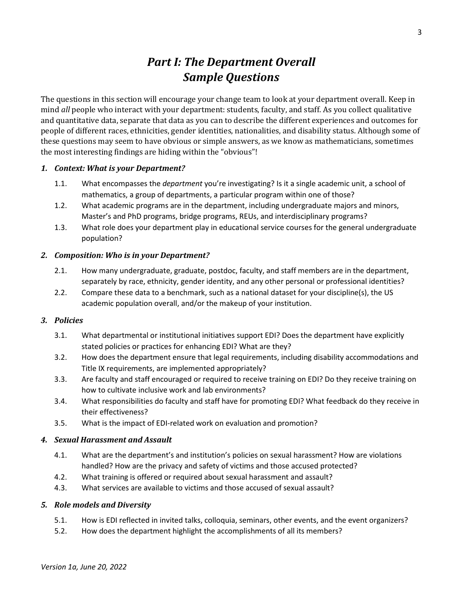# *Part I: The Department Overall Sample Questions*

<span id="page-4-1"></span><span id="page-4-0"></span>The questions in this section will encourage your change team to look at your department overall. Keep in mind *all* people who interact with your department: students, faculty, and staff. As you collect qualitative and quantitative data, separate that data as you can to describe the different experiences and outcomes for people of different races, ethnicities, gender identities, nationalities, and disability status. Although some of these questions may seem to have obvious or simple answers, as we know as mathematicians, sometimes the most interesting findings are hiding within the "obvious"!

# *1. Context: What is your Department?*

- 1.1. What encompasses the *department* you're investigating? Is it a single academic unit, a school of mathematics, a group of departments, a particular program within one of those?
- 1.2. What academic programs are in the department, including undergraduate majors and minors, Master's and PhD programs, bridge programs, REUs, and interdisciplinary programs?
- 1.3. What role does your department play in educational service courses for the general undergraduate population?

### *2. Composition: Who is in your Department?*

- 2.1. How many undergraduate, graduate, postdoc, faculty, and staff members are in the department, separately by race, ethnicity, gender identity, and any other personal or professional identities?
- 2.2. Compare these data to a benchmark, such as a national dataset for your discipline(s), the US academic population overall, and/or the makeup of your institution.

### *3. Policies*

- 3.1. What departmental or institutional initiatives support EDI? Does the department have explicitly stated policies or practices for enhancing EDI? What are they?
- 3.2. How does the department ensure that legal requirements, including disability accommodations and Title IX requirements, are implemented appropriately?
- 3.3. Are faculty and staff encouraged or required to receive training on EDI? Do they receive training on how to cultivate inclusive work and lab environments?
- 3.4. What responsibilities do faculty and staff have for promoting EDI? What feedback do they receive in their effectiveness?
- 3.5. What is the impact of EDI-related work on evaluation and promotion?

### *4. Sexual Harassment and Assault*

- 4.1. What are the department's and institution's policies on sexual harassment? How are violations handled? How are the privacy and safety of victims and those accused protected?
- 4.2. What training is offered or required about sexual harassment and assault?
- 4.3. What services are available to victims and those accused of sexual assault?

### *5. Role models and Diversity*

- 5.1. How is EDI reflected in invited talks, colloquia, seminars, other events, and the event organizers?
- 5.2. How does the department highlight the accomplishments of all its members?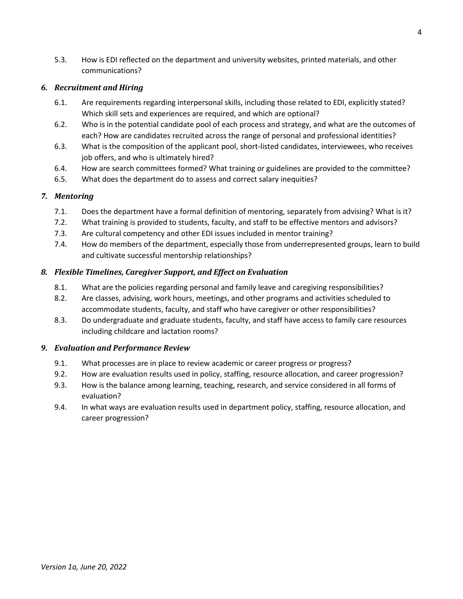5.3. How is EDI reflected on the department and university websites, printed materials, and other communications?

### *6. Recruitment and Hiring*

- 6.1. Are requirements regarding interpersonal skills, including those related to EDI, explicitly stated? Which skill sets and experiences are required, and which are optional?
- 6.2. Who is in the potential candidate pool of each process and strategy, and what are the outcomes of each? How are candidates recruited across the range of personal and professional identities?
- 6.3. What is the composition of the applicant pool, short-listed candidates, interviewees, who receives job offers, and who is ultimately hired?
- 6.4. How are search committees formed? What training or guidelines are provided to the committee?
- 6.5. What does the department do to assess and correct salary inequities?

# *7. Mentoring*

- 7.1. Does the department have a formal definition of mentoring, separately from advising? What is it?
- 7.2. What training is provided to students, faculty, and staff to be effective mentors and advisors?
- 7.3. Are cultural competency and other EDI issues included in mentor training?
- 7.4. How do members of the department, especially those from underrepresented groups, learn to build and cultivate successful mentorship relationships?

# *8. Flexible Timelines, Caregiver Support, and Effect on Evaluation*

- 8.1. What are the policies regarding personal and family leave and caregiving responsibilities?
- 8.2. Are classes, advising, work hours, meetings, and other programs and activities scheduled to accommodate students, faculty, and staff who have caregiver or other responsibilities?
- 8.3. Do undergraduate and graduate students, faculty, and staff have access to family care resources including childcare and lactation rooms?

# *9. Evaluation and Performance Review*

- 9.1. What processes are in place to review academic or career progress or progress?
- 9.2. How are evaluation results used in policy, staffing, resource allocation, and career progression?
- 9.3. How is the balance among learning, teaching, research, and service considered in all forms of evaluation?
- 9.4. In what ways are evaluation results used in department policy, staffing, resource allocation, and career progression?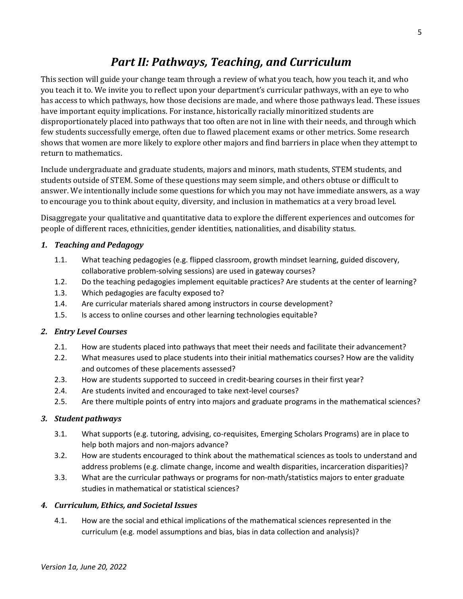# *Part II: Pathways, Teaching, and Curriculum*

<span id="page-6-0"></span>This section will guide your change team through a review of what you teach, how you teach it, and who you teach it to. We invite you to reflect upon your department's curricular pathways, with an eye to who has access to which pathways, how those decisions are made, and where those pathways lead. These issues have important equity implications. For instance, historically racially minoritized students are disproportionately placed into pathways that too often are not in line with their needs, and through which few students successfully emerge, often due to flawed placement exams or other metrics. Some research shows that women are more likely to explore other majors and find barriers in place when they attempt to return to mathematics.

Include undergraduate and graduate students, majors and minors, math students, STEM students, and students outside of STEM. Some of these questions may seem simple, and others obtuse or difficult to answer. We intentionally include some questions for which you may not have immediate answers, as a way to encourage you to think about equity, diversity, and inclusion in mathematics at a very broad level.

Disaggregate your qualitative and quantitative data to explore the different experiences and outcomes for people of different races, ethnicities, gender identities, nationalities, and disability status.

# *1. Teaching and Pedagogy*

- 1.1. What teaching pedagogies (e.g. flipped classroom, growth mindset learning, guided discovery, collaborative problem-solving sessions) are used in gateway courses?
- 1.2. Do the teaching pedagogies implement equitable practices? Are students at the center of learning?
- 1.3. Which pedagogies are faculty exposed to?
- 1.4. Are curricular materials shared among instructors in course development?
- 1.5. Is access to online courses and other learning technologies equitable?

### *2. Entry Level Courses*

- 2.1. How are students placed into pathways that meet their needs and facilitate their advancement?
- 2.2. What measures used to place students into their initial mathematics courses? How are the validity and outcomes of these placements assessed?
- 2.3. How are students supported to succeed in credit-bearing courses in their first year?
- 2.4. Are students invited and encouraged to take next-level courses?
- 2.5. Are there multiple points of entry into majors and graduate programs in the mathematical sciences?

### *3. Student pathways*

- 3.1. What supports (e.g. tutoring, advising, co-requisites, Emerging Scholars Programs) are in place to help both majors and non-majors advance?
- 3.2. How are students encouraged to think about the mathematical sciences as tools to understand and address problems (e.g. climate change, income and wealth disparities, incarceration disparities)?
- 3.3. What are the curricular pathways or programs for non-math/statistics majors to enter graduate studies in mathematical or statistical sciences?

### *4. Curriculum, Ethics, and Societal Issues*

4.1. How are the social and ethical implications of the mathematical sciences represented in the curriculum (e.g. model assumptions and bias, bias in data collection and analysis)?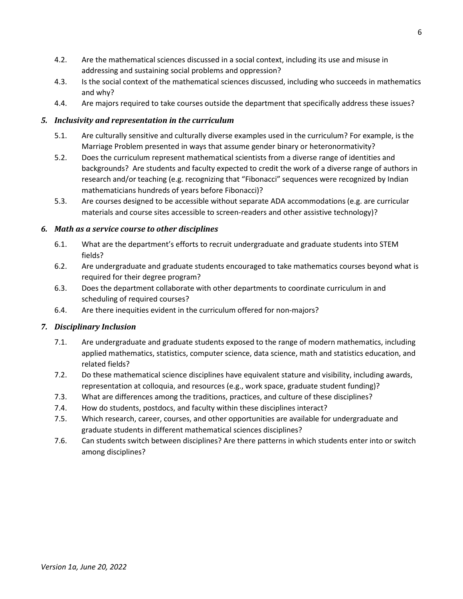- 4.2. Are the mathematical sciences discussed in a social context, including its use and misuse in addressing and sustaining social problems and oppression?
- 4.3. Is the social context of the mathematical sciences discussed, including who succeeds in mathematics and why?
- 4.4. Are majors required to take courses outside the department that specifically address these issues?

# *5. Inclusivity and representation in the curriculum*

- 5.1. Are culturally sensitive and culturally diverse examples used in the curriculum? For example, is the Marriage Problem presented in ways that assume gender binary or heteronormativity?
- 5.2. Does the curriculum represent mathematical scientists from a diverse range of identities and backgrounds? Are students and faculty expected to credit the work of a diverse range of authors in research and/or teaching (e.g. recognizing that "Fibonacci" sequences were recognized by Indian mathematicians hundreds of years before Fibonacci)?
- 5.3. Are courses designed to be accessible without separate ADA accommodations (e.g. are curricular materials and course sites accessible to screen-readers and other assistive technology)?

# *6. Math as a service course to other disciplines*

- 6.1. What are the department's efforts to recruit undergraduate and graduate students into STEM fields?
- 6.2. Are undergraduate and graduate students encouraged to take mathematics courses beyond what is required for their degree program?
- 6.3. Does the department collaborate with other departments to coordinate curriculum in and scheduling of required courses?
- 6.4. Are there inequities evident in the curriculum offered for non-majors?

# *7. Disciplinary Inclusion*

- 7.1. Are undergraduate and graduate students exposed to the range of modern mathematics, including applied mathematics, statistics, computer science, data science, math and statistics education, and related fields?
- 7.2. Do these mathematical science disciplines have equivalent stature and visibility, including awards, representation at colloquia, and resources (e.g., work space, graduate student funding)?
- 7.3. What are differences among the traditions, practices, and culture of these disciplines?
- 7.4. How do students, postdocs, and faculty within these disciplines interact?
- 7.5. Which research, career, courses, and other opportunities are available for undergraduate and graduate students in different mathematical sciences disciplines?
- 7.6. Can students switch between disciplines? Are there patterns in which students enter into or switch among disciplines?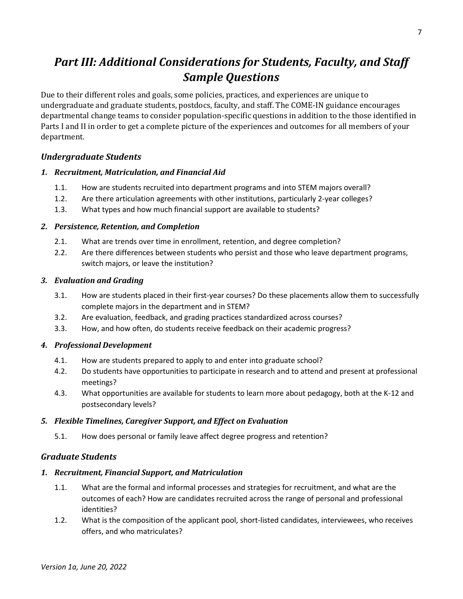# <span id="page-8-0"></span>*Part III: Additional Considerations for Students, Faculty, and Staff Sample Questions*

Due to their different roles and goals, some policies, practices, and experiences are unique to undergraduate and graduate students, postdocs, faculty, and staff. The COME-IN guidance encourages departmental change teams to consider population-specific questions in addition to the those identified in Parts I and II in order to get a complete picture of the experiences and outcomes for all members of your department.

# <span id="page-8-1"></span>*Undergraduate Students*

# *1. Recruitment, Matriculation, and Financial Aid*

- 1.1. How are students recruited into department programs and into STEM majors overall?
- 1.2. Are there articulation agreements with other institutions, particularly 2-year colleges?
- 1.3. What types and how much financial support are available to students?

# *2. Persistence, Retention, and Completion*

- 2.1. What are trends over time in enrollment, retention, and degree completion?
- 2.2. Are there differences between students who persist and those who leave department programs, switch majors, or leave the institution?

# *3. Evaluation and Grading*

- 3.1. How are students placed in their first-year courses? Do these placements allow them to successfully complete majors in the department and in STEM?
- 3.2. Are evaluation, feedback, and grading practices standardized across courses?
- 3.3. How, and how often, do students receive feedback on their academic progress?

# *4. Professional Development*

- 4.1. How are students prepared to apply to and enter into graduate school?
- 4.2. Do students have opportunities to participate in research and to attend and present at professional meetings?
- 4.3. What opportunities are available for students to learn more about pedagogy, both at the K-12 and postsecondary levels?

# *5. Flexible Timelines, Caregiver Support, and Effect on Evaluation*

5.1. How does personal or family leave affect degree progress and retention?

# <span id="page-8-2"></span>*Graduate Students*

# *1. Recruitment, Financial Support, and Matriculation*

- 1.1. What are the formal and informal processes and strategies for recruitment, and what are the outcomes of each? How are candidates recruited across the range of personal and professional identities?
- 1.2. What is the composition of the applicant pool, short-listed candidates, interviewees, who receives offers, and who matriculates?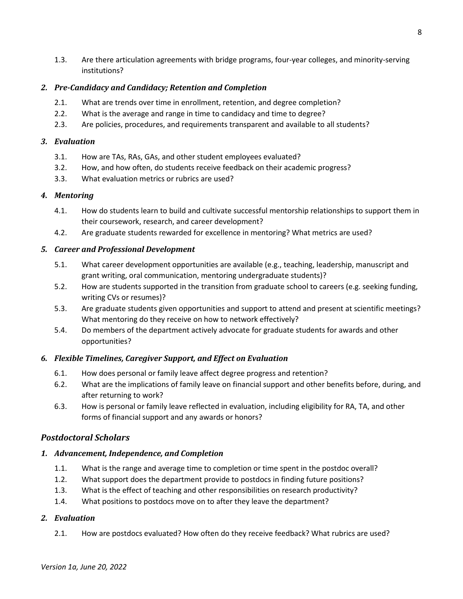1.3. Are there articulation agreements with bridge programs, four-year colleges, and minority-serving institutions?

# *2. Pre-Candidacy and Candidacy; Retention and Completion*

- 2.1. What are trends over time in enrollment, retention, and degree completion?
- 2.2. What is the average and range in time to candidacy and time to degree?
- 2.3. Are policies, procedures, and requirements transparent and available to all students?

# *3. Evaluation*

- 3.1. How are TAs, RAs, GAs, and other student employees evaluated?
- 3.2. How, and how often, do students receive feedback on their academic progress?
- 3.3. What evaluation metrics or rubrics are used?

# *4. Mentoring*

- 4.1. How do students learn to build and cultivate successful mentorship relationships to support them in their coursework, research, and career development?
- 4.2. Are graduate students rewarded for excellence in mentoring? What metrics are used?

# *5. Career and Professional Development*

- 5.1. What career development opportunities are available (e.g., teaching, leadership, manuscript and grant writing, oral communication, mentoring undergraduate students)?
- 5.2. How are students supported in the transition from graduate school to careers (e.g. seeking funding, writing CVs or resumes)?
- 5.3. Are graduate students given opportunities and support to attend and present at scientific meetings? What mentoring do they receive on how to network effectively?
- 5.4. Do members of the department actively advocate for graduate students for awards and other opportunities?

# *6. Flexible Timelines, Caregiver Support, and Effect on Evaluation*

- 6.1. How does personal or family leave affect degree progress and retention?
- 6.2. What are the implications of family leave on financial support and other benefits before, during, and after returning to work?
- 6.3. How is personal or family leave reflected in evaluation, including eligibility for RA, TA, and other forms of financial support and any awards or honors?

# <span id="page-9-0"></span>*Postdoctoral Scholars*

# *1. Advancement, Independence, and Completion*

- 1.1. What is the range and average time to completion or time spent in the postdoc overall?
- 1.2. What support does the department provide to postdocs in finding future positions?
- 1.3. What is the effect of teaching and other responsibilities on research productivity?
- 1.4. What positions to postdocs move on to after they leave the department?

# *2. Evaluation*

2.1. How are postdocs evaluated? How often do they receive feedback? What rubrics are used?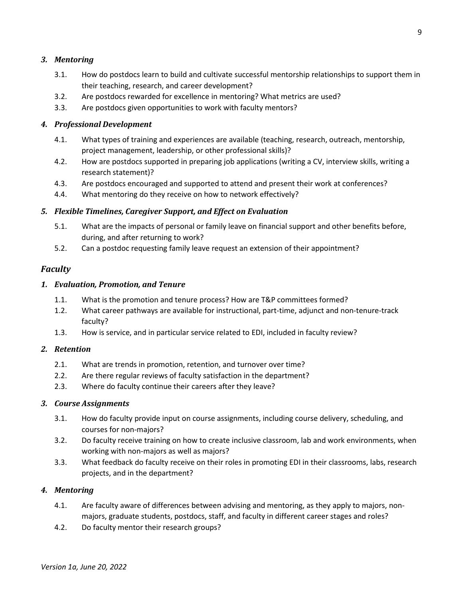# *3. Mentoring*

- 3.1. How do postdocs learn to build and cultivate successful mentorship relationships to support them in their teaching, research, and career development?
- 3.2. Are postdocs rewarded for excellence in mentoring? What metrics are used?
- 3.3. Are postdocs given opportunities to work with faculty mentors?

### *4. Professional Development*

- 4.1. What types of training and experiences are available (teaching, research, outreach, mentorship, project management, leadership, or other professional skills)?
- 4.2. How are postdocs supported in preparing job applications (writing a CV, interview skills, writing a research statement)?
- 4.3. Are postdocs encouraged and supported to attend and present their work at conferences?
- 4.4. What mentoring do they receive on how to network effectively?

# *5. Flexible Timelines, Caregiver Support, and Effect on Evaluation*

- 5.1. What are the impacts of personal or family leave on financial support and other benefits before, during, and after returning to work?
- 5.2. Can a postdoc requesting family leave request an extension of their appointment?

# <span id="page-10-0"></span>*Faculty*

# *1. Evaluation, Promotion, and Tenure*

- 1.1. What is the promotion and tenure process? How are T&P committees formed?
- 1.2. What career pathways are available for instructional, part-time, adjunct and non-tenure-track faculty?
- 1.3. How is service, and in particular service related to EDI, included in faculty review?

### *2. Retention*

- 2.1. What are trends in promotion, retention, and turnover over time?
- 2.2. Are there regular reviews of faculty satisfaction in the department?
- 2.3. Where do faculty continue their careers after they leave?

### *3. Course Assignments*

- 3.1. How do faculty provide input on course assignments, including course delivery, scheduling, and courses for non-majors?
- 3.2. Do faculty receive training on how to create inclusive classroom, lab and work environments, when working with non-majors as well as majors?
- 3.3. What feedback do faculty receive on their roles in promoting EDI in their classrooms, labs, research projects, and in the department?

### *4. Mentoring*

- 4.1. Are faculty aware of differences between advising and mentoring, as they apply to majors, nonmajors, graduate students, postdocs, staff, and faculty in different career stages and roles?
- 4.2. Do faculty mentor their research groups?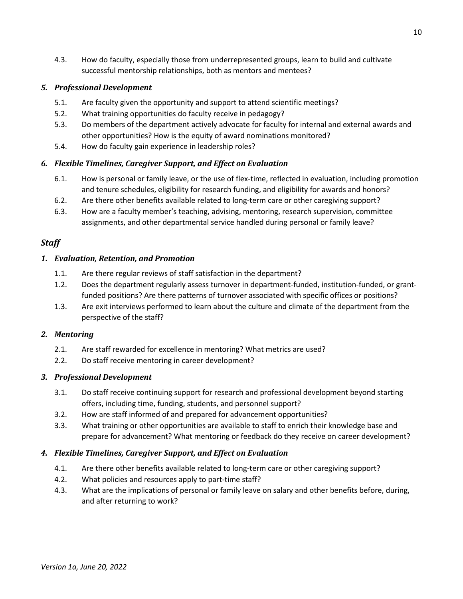4.3. How do faculty, especially those from underrepresented groups, learn to build and cultivate successful mentorship relationships, both as mentors and mentees?

# *5. Professional Development*

- 5.1. Are faculty given the opportunity and support to attend scientific meetings?
- 5.2. What training opportunities do faculty receive in pedagogy?
- 5.3. Do members of the department actively advocate for faculty for internal and external awards and other opportunities? How is the equity of award nominations monitored?
- 5.4. How do faculty gain experience in leadership roles?

# *6. Flexible Timelines, Caregiver Support, and Effect on Evaluation*

- 6.1. How is personal or family leave, or the use of flex-time, reflected in evaluation, including promotion and tenure schedules, eligibility for research funding, and eligibility for awards and honors?
- 6.2. Are there other benefits available related to long-term care or other caregiving support?
- 6.3. How are a faculty member's teaching, advising, mentoring, research supervision, committee assignments, and other departmental service handled during personal or family leave?

# <span id="page-11-0"></span>*Staff*

# *1. Evaluation, Retention, and Promotion*

- 1.1. Are there regular reviews of staff satisfaction in the department?
- 1.2. Does the department regularly assess turnover in department-funded, institution-funded, or grantfunded positions? Are there patterns of turnover associated with specific offices or positions?
- 1.3. Are exit interviews performed to learn about the culture and climate of the department from the perspective of the staff?

### *2. Mentoring*

- 2.1. Are staff rewarded for excellence in mentoring? What metrics are used?
- 2.2. Do staff receive mentoring in career development?

### *3. Professional Development*

- 3.1. Do staff receive continuing support for research and professional development beyond starting offers, including time, funding, students, and personnel support?
- 3.2. How are staff informed of and prepared for advancement opportunities?
- 3.3. What training or other opportunities are available to staff to enrich their knowledge base and prepare for advancement? What mentoring or feedback do they receive on career development?

# *4. Flexible Timelines, Caregiver Support, and Effect on Evaluation*

- 4.1. Are there other benefits available related to long-term care or other caregiving support?
- 4.2. What policies and resources apply to part-time staff?
- 4.3. What are the implications of personal or family leave on salary and other benefits before, during, and after returning to work?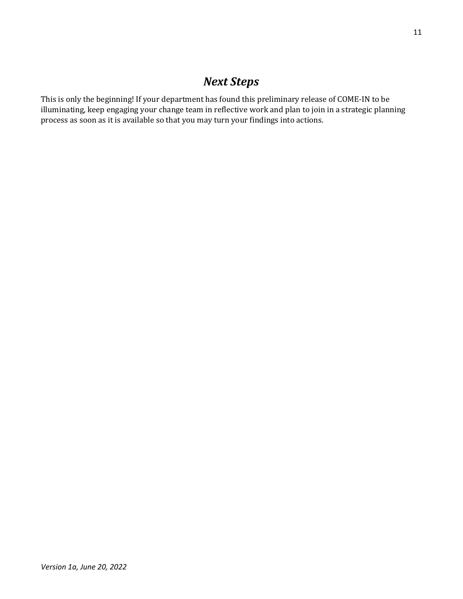# *Next Steps*

<span id="page-12-0"></span>This is only the beginning! If your department has found this preliminary release of COME-IN to be illuminating, keep engaging your change team in reflective work and plan to join in a strategic planning process as soon as it is available so that you may turn your findings into actions.